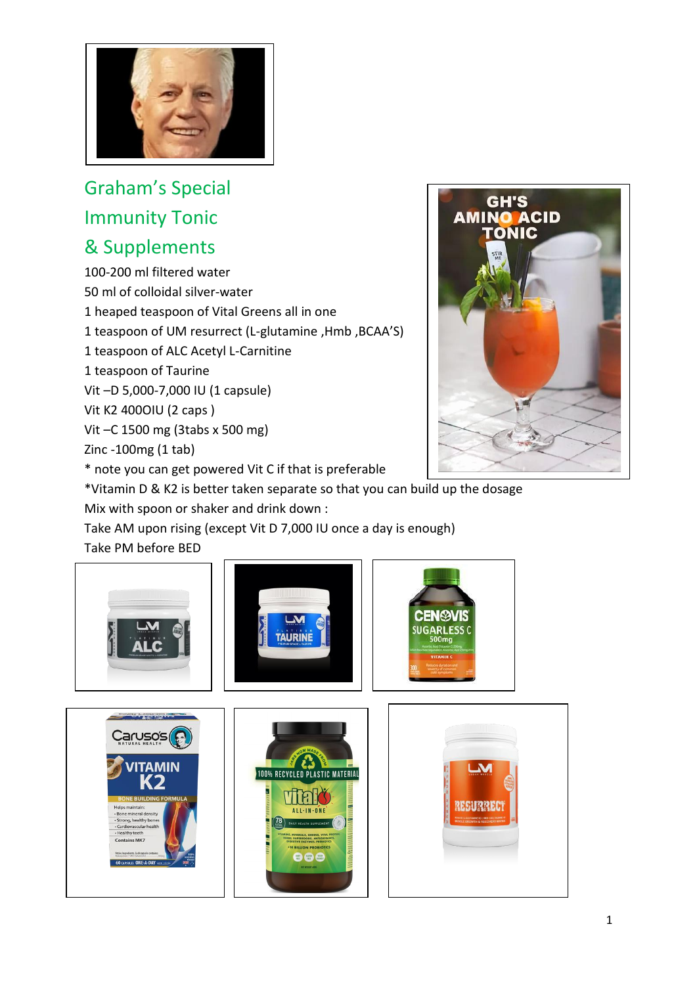

## Graham's Special Immunity Tonic & Supplements

100-200 ml filtered water

50 ml of colloidal silver-water

1 heaped teaspoon of Vital Greens all in one

1 teaspoon of UM resurrect (L-glutamine ,Hmb ,BCAA'S)

1 teaspoon of ALC Acetyl L-Carnitine

1 teaspoon of Taurine

Vit –D 5,000-7,000 IU (1 capsule)

Vit K2 400OIU (2 caps )

Vit –C 1500 mg (3tabs x 500 mg)

Zinc -100mg (1 tab)

\* note you can get powered Vit C if that is preferable



\*Vitamin D & K2 is better taken separate so that you can build up the dosage Mix with spoon or shaker and drink down :

Take AM upon rising (except Vit D 7,000 IU once a day is enough) Take PM before BED

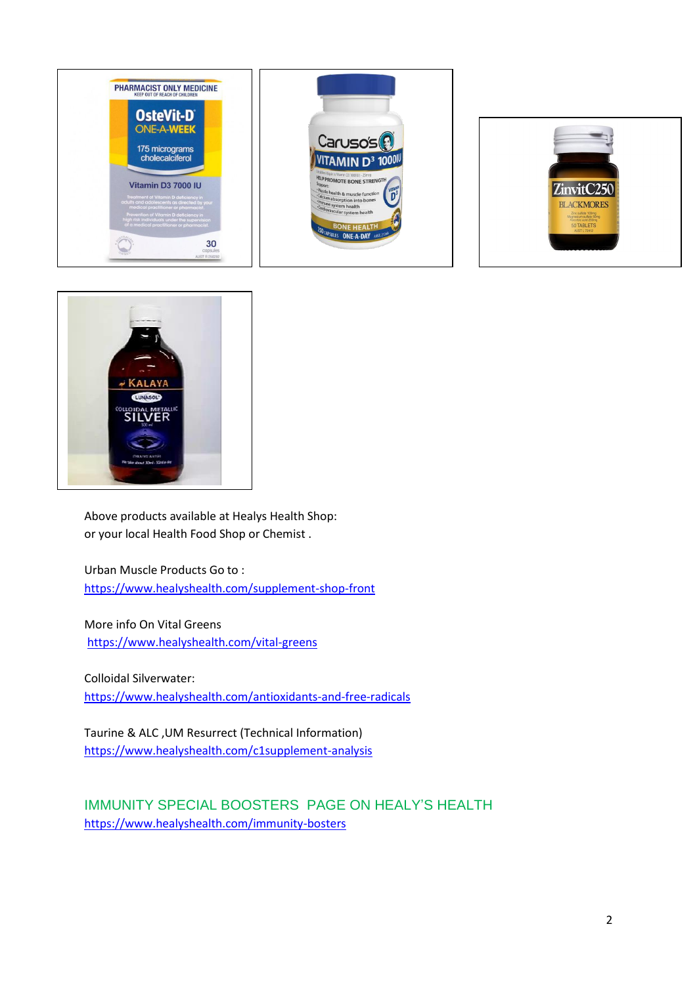







Above products available at Healys Health Shop: or your local Health Food Shop or Chemist .

Urban Muscle Products Go to : <https://www.healyshealth.com/supplement-shop-front>

More info On Vital Greens <https://www.healyshealth.com/vital-greens>

Colloidal Silverwater: <https://www.healyshealth.com/antioxidants-and-free-radicals>

Taurine & ALC ,UM Resurrect (Technical Information) <https://www.healyshealth.com/c1supplement-analysis>

IMMUNITY SPECIAL BOOSTERS PAGE ON HEALY'S HEALTH <https://www.healyshealth.com/immunity-bosters>